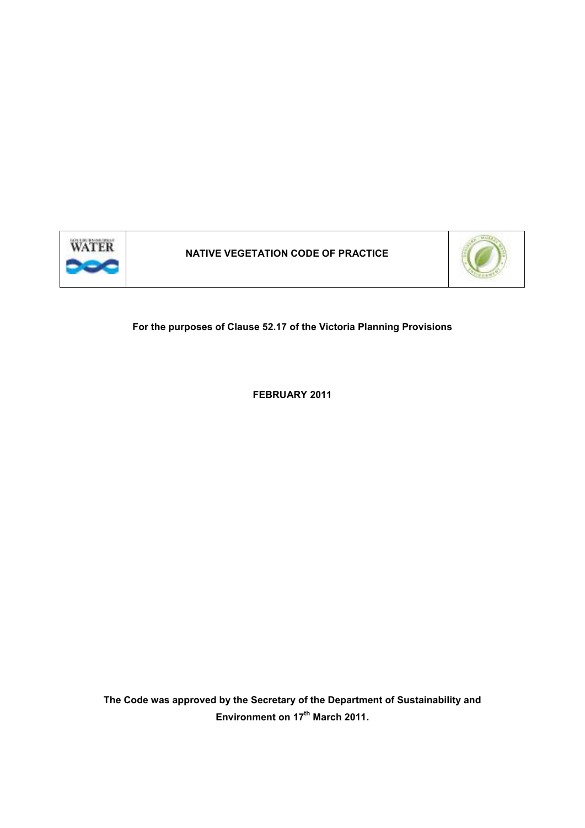

**NATIVE VEGETATION CODE OF PRACTICE** 



**For the purposes of Clause 52.17 of the Victoria Planning Provisions** 

**FEBRUARY 2011** 

**The Code was approved by the Secretary of the Department of Sustainability and Environment on 17th March 2011.**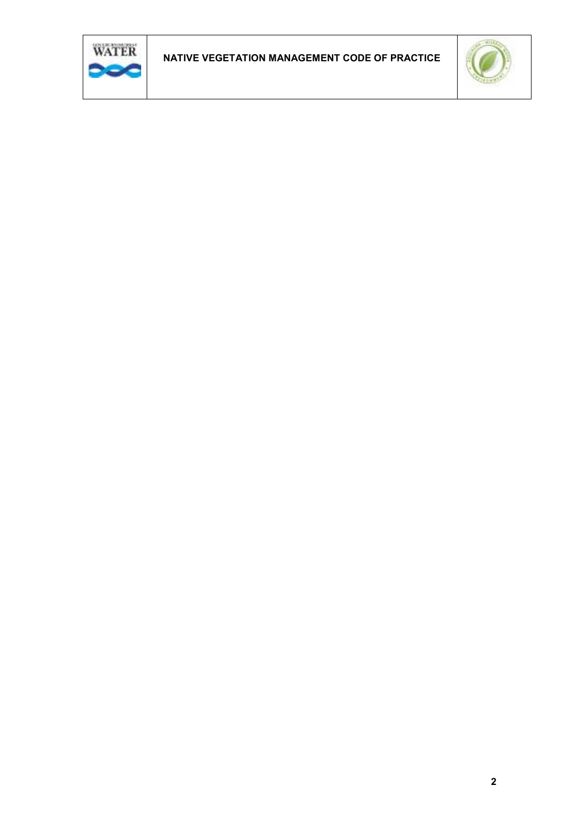

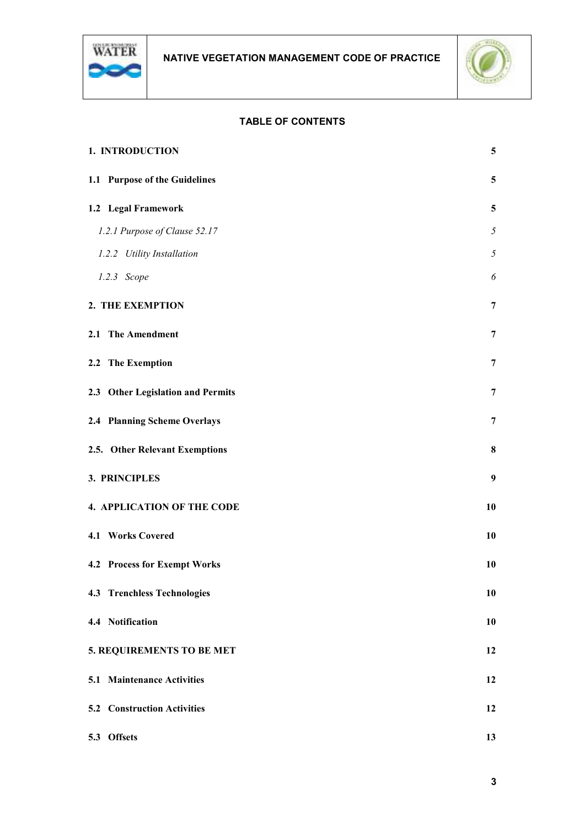



# **TABLE OF CONTENTS**

| 1. INTRODUCTION                    | 5                |
|------------------------------------|------------------|
| 1.1 Purpose of the Guidelines      | 5                |
| 1.2 Legal Framework                | 5                |
| 1.2.1 Purpose of Clause 52.17      | 5                |
| 1.2.2 Utility Installation         | 5                |
| $1.2.3$ Scope                      | 6                |
| 2. THE EXEMPTION                   | 7                |
| 2.1 The Amendment                  | 7                |
| 2.2 The Exemption                  | 7                |
| 2.3 Other Legislation and Permits  | 7                |
| 2.4 Planning Scheme Overlays       | 7                |
| 2.5. Other Relevant Exemptions     | 8                |
| 3. PRINCIPLES                      | $\boldsymbol{9}$ |
| <b>4. APPLICATION OF THE CODE</b>  | 10               |
| 4.1 Works Covered                  | 10               |
| 4.2 Process for Exempt Works       | 10               |
| <b>4.3 Trenchless Technologies</b> | 10               |
| 4.4 Notification                   | 10               |
| 5. REQUIREMENTS TO BE MET          | 12               |
| 5.1 Maintenance Activities         | 12               |
| <b>5.2 Construction Activities</b> | 12               |
| 5.3 Offsets                        | 13               |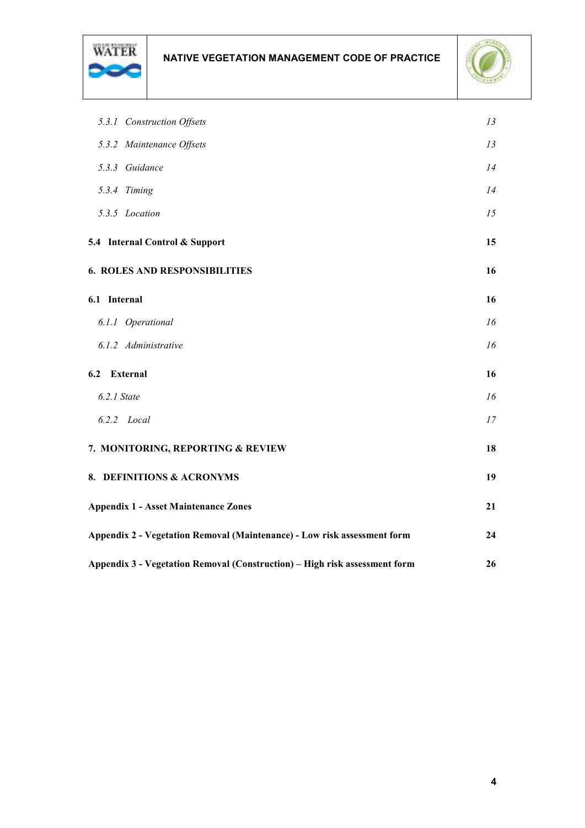



| 5.3.1 Construction Offsets                                                 | 13 |
|----------------------------------------------------------------------------|----|
| 5.3.2 Maintenance Offsets                                                  | 13 |
| 5.3.3 Guidance                                                             | 14 |
| 5.3.4 Timing                                                               | 14 |
| 5.3.5 Location                                                             | 15 |
| 5.4 Internal Control & Support                                             | 15 |
| <b>6. ROLES AND RESPONSIBILITIES</b>                                       | 16 |
| 6.1 Internal                                                               | 16 |
| 6.1.1 Operational                                                          | 16 |
| 6.1.2 Administrative                                                       | 16 |
| 6.2<br>External                                                            | 16 |
| 6.2.1 State                                                                | 16 |
| $6.2.2$ Local                                                              | 17 |
| 7. MONITORING, REPORTING & REVIEW                                          | 18 |
| 8. DEFINITIONS & ACRONYMS                                                  | 19 |
| <b>Appendix 1 - Asset Maintenance Zones</b>                                | 21 |
| Appendix 2 - Vegetation Removal (Maintenance) - Low risk assessment form   | 24 |
| Appendix 3 - Vegetation Removal (Construction) - High risk assessment form | 26 |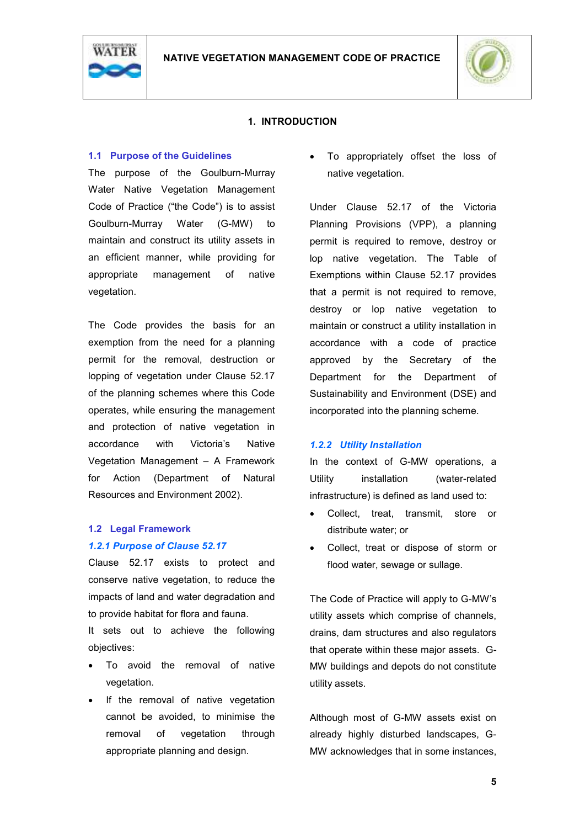



# **1. INTRODUCTION**

## **1.1 Purpose of the Guidelines**

The purpose of the Goulburn-Murray Water Native Vegetation Management Code of Practice ("the Code") is to assist Goulburn-Murray Water (G-MW) to maintain and construct its utility assets in an efficient manner, while providing for appropriate management of native vegetation.

The Code provides the basis for an exemption from the need for a planning permit for the removal, destruction or lopping of vegetation under Clause 52.17 of the planning schemes where this Code operates, while ensuring the management and protection of native vegetation in accordance with Victoria's Native Vegetation Management – A Framework for Action (Department of Natural Resources and Environment 2002).

# **1.2 Legal Framework**  *1.2.1 Purpose of Clause 52.17*

Clause 52.17 exists to protect and conserve native vegetation, to reduce the impacts of land and water degradation and to provide habitat for flora and fauna.

It sets out to achieve the following objectives:

- To avoid the removal of native vegetation.
- If the removal of native vegetation cannot be avoided, to minimise the removal of vegetation through appropriate planning and design.

• To appropriately offset the loss of native vegetation.

Under Clause 52.17 of the Victoria Planning Provisions (VPP), a planning permit is required to remove, destroy or lop native vegetation. The Table of Exemptions within Clause 52.17 provides that a permit is not required to remove, destroy or lop native vegetation to maintain or construct a utility installation in accordance with a code of practice approved by the Secretary of the Department for the Department of Sustainability and Environment (DSE) and incorporated into the planning scheme.

# *1.2.2 Utility Installation*

In the context of G-MW operations, a Utility installation (water-related infrastructure) is defined as land used to:

- Collect, treat, transmit, store or distribute water; or
- Collect, treat or dispose of storm or flood water, sewage or sullage.

The Code of Practice will apply to G-MW's utility assets which comprise of channels, drains, dam structures and also regulators that operate within these major assets. G-MW buildings and depots do not constitute utility assets.

Although most of G-MW assets exist on already highly disturbed landscapes, G-MW acknowledges that in some instances,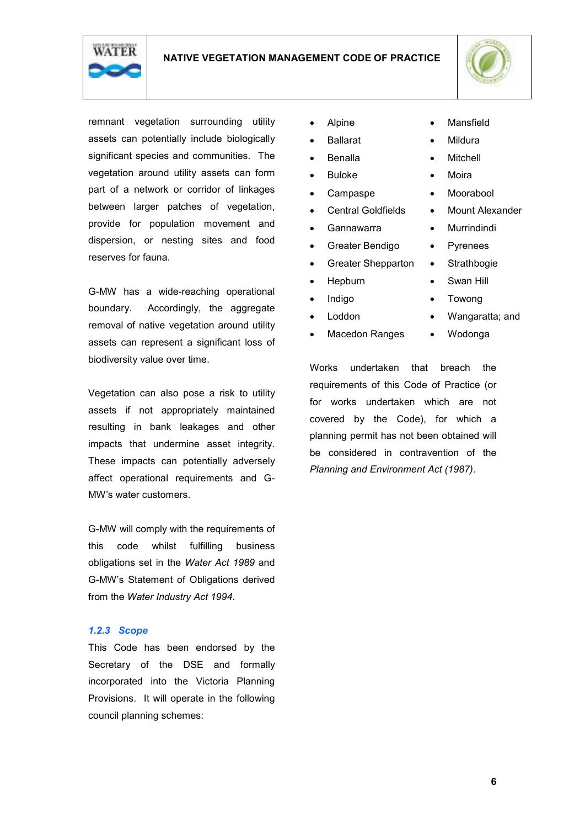



remnant vegetation surrounding utility assets can potentially include biologically significant species and communities. The vegetation around utility assets can form part of a network or corridor of linkages between larger patches of vegetation, provide for population movement and dispersion, or nesting sites and food reserves for fauna.

G-MW has a wide-reaching operational boundary. Accordingly, the aggregate removal of native vegetation around utility assets can represent a significant loss of biodiversity value over time.

Vegetation can also pose a risk to utility assets if not appropriately maintained resulting in bank leakages and other impacts that undermine asset integrity. These impacts can potentially adversely affect operational requirements and G-MW's water customers.

G-MW will comply with the requirements of this code whilst fulfilling business obligations set in the *Water Act 1989* and G-MW's Statement of Obligations derived from the *Water Industry Act 1994*.

## *1.2.3 Scope*

This Code has been endorsed by the Secretary of the DSE and formally incorporated into the Victoria Planning Provisions. It will operate in the following council planning schemes:

- 
- Ballarat Mildura
- Benalla Mitchell
- Buloke Moira
- 
- 
- Gannawarra Murrindindi
- Greater Bendigo Pyrenees
- Greater Shepparton Strathbogie
- 
- 
- 
- Macedon Ranges Wodonga
- Alpine Mansfield
	-
	-
	-
	- Campaspe Moorabool
	- Central Goldfields Mount Alexander
		-
		-
		-
	- Hepburn Swan Hill
	- Indigo **•** Towong
	- Loddon Wangaratta; and
		-

Works undertaken that breach the requirements of this Code of Practice (or for works undertaken which are not covered by the Code), for which a planning permit has not been obtained will be considered in contravention of the *Planning and Environment Act (1987)*.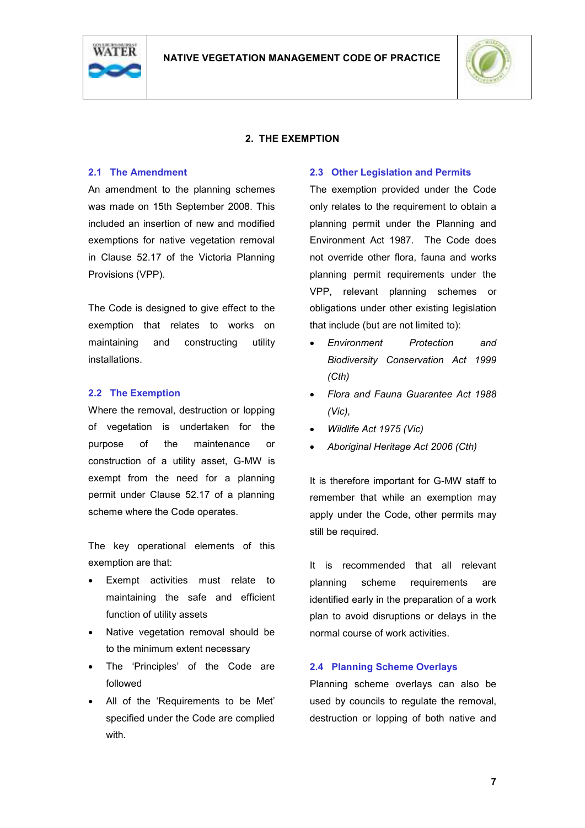



## **2. THE EXEMPTION**

## **2.1 The Amendment**

An amendment to the planning schemes was made on 15th September 2008. This included an insertion of new and modified exemptions for native vegetation removal in Clause 52.17 of the Victoria Planning Provisions (VPP).

The Code is designed to give effect to the exemption that relates to works on maintaining and constructing utility installations.

## **2.2 The Exemption**

Where the removal, destruction or lopping of vegetation is undertaken for the purpose of the maintenance or construction of a utility asset, G-MW is exempt from the need for a planning permit under Clause 52.17 of a planning scheme where the Code operates.

The key operational elements of this exemption are that:

- Exempt activities must relate to maintaining the safe and efficient function of utility assets
- Native vegetation removal should be to the minimum extent necessary
- The 'Principles' of the Code are followed
- All of the 'Requirements to be Met' specified under the Code are complied with.

#### **2.3 Other Legislation and Permits**

The exemption provided under the Code only relates to the requirement to obtain a planning permit under the Planning and Environment Act 1987. The Code does not override other flora, fauna and works planning permit requirements under the VPP, relevant planning schemes or obligations under other existing legislation that include (but are not limited to):

- *Environment Protection and Biodiversity Conservation Act 1999 (Cth)*
- *Flora and Fauna Guarantee Act 1988 (Vic),*
- *Wildlife Act 1975 (Vic)*
- *Aboriginal Heritage Act 2006 (Cth)*

It is therefore important for G-MW staff to remember that while an exemption may apply under the Code, other permits may still be required.

It is recommended that all relevant planning scheme requirements are identified early in the preparation of a work plan to avoid disruptions or delays in the normal course of work activities.

#### **2.4 Planning Scheme Overlays**

Planning scheme overlays can also be used by councils to regulate the removal, destruction or lopping of both native and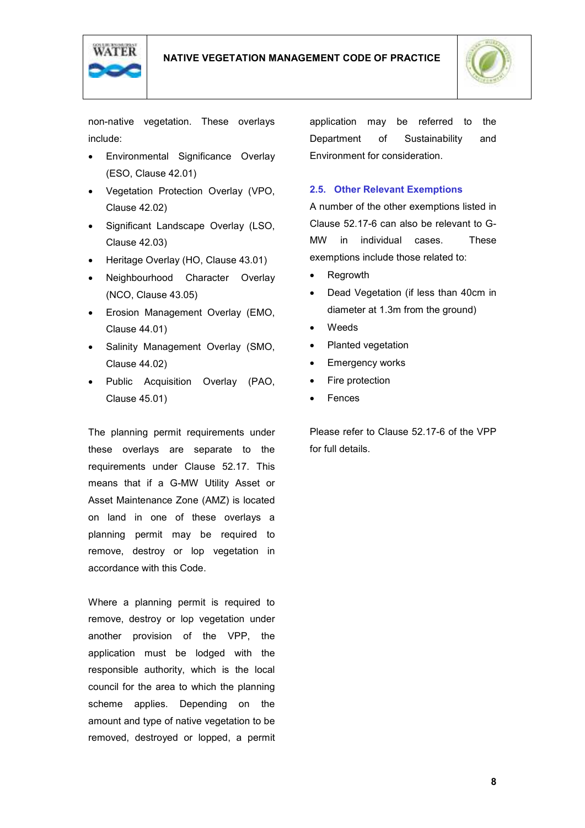



non-native vegetation. These overlays include:

- Environmental Significance Overlay (ESO, Clause 42.01)
- Vegetation Protection Overlay (VPO, Clause 42.02)
- Significant Landscape Overlay (LSO, Clause 42.03)
- Heritage Overlay (HO, Clause 43.01)
- Neighbourhood Character Overlay (NCO, Clause 43.05)
- Erosion Management Overlay (EMO, Clause 44.01)
- Salinity Management Overlay (SMO, Clause 44.02)
- Public Acquisition Overlay (PAO, Clause 45.01)

The planning permit requirements under these overlays are separate to the requirements under Clause 52.17. This means that if a G-MW Utility Asset or Asset Maintenance Zone (AMZ) is located on land in one of these overlays a planning permit may be required to remove, destroy or lop vegetation in accordance with this Code.

Where a planning permit is required to remove, destroy or lop vegetation under another provision of the VPP, the application must be lodged with the responsible authority, which is the local council for the area to which the planning scheme applies. Depending on the amount and type of native vegetation to be removed, destroyed or lopped, a permit application may be referred to the Department of Sustainability and Environment for consideration.

## **2.5. Other Relevant Exemptions**

A number of the other exemptions listed in Clause 52.17-6 can also be relevant to G-MW in individual cases. These exemptions include those related to:

- **Regrowth**
- Dead Vegetation (if less than 40cm in diameter at 1.3m from the ground)
- Weeds
- Planted vegetation
- Emergency works
- Fire protection
- **Fences**

Please refer to Clause 52.17-6 of the VPP for full details.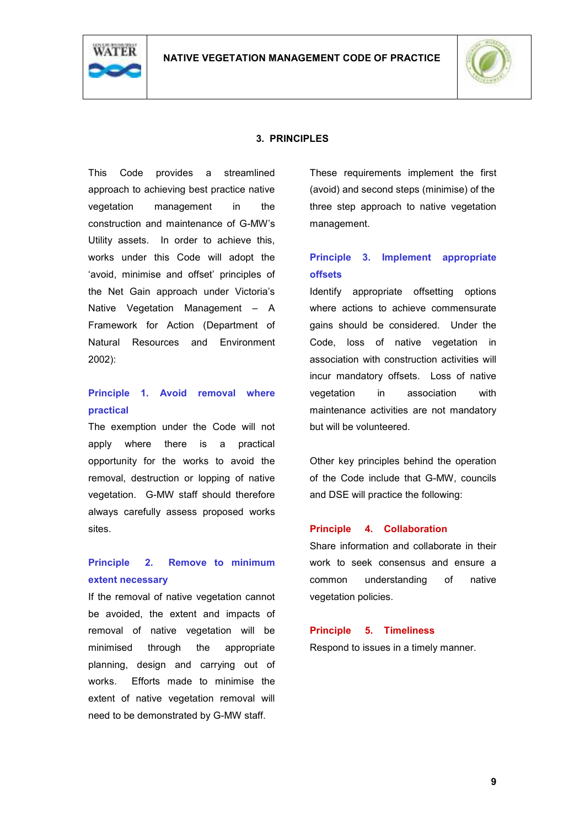



## **3. PRINCIPLES**

This Code provides a streamlined approach to achieving best practice native vegetation management in the construction and maintenance of G-MW's Utility assets. In order to achieve this, works under this Code will adopt the 'avoid, minimise and offset' principles of the Net Gain approach under Victoria's Native Vegetation Management – A Framework for Action (Department of Natural Resources and Environment 2002):

# **Principle 1. Avoid removal where practical**

The exemption under the Code will not apply where there is a practical opportunity for the works to avoid the removal, destruction or lopping of native vegetation. G-MW staff should therefore always carefully assess proposed works sites.

# **Principle 2. Remove to minimum extent necessary**

If the removal of native vegetation cannot be avoided, the extent and impacts of removal of native vegetation will be minimised through the appropriate planning, design and carrying out of works. Efforts made to minimise the extent of native vegetation removal will need to be demonstrated by G-MW staff.

These requirements implement the first (avoid) and second steps (minimise) of the three step approach to native vegetation management.

# **Principle 3. Implement appropriate offsets**

Identify appropriate offsetting options where actions to achieve commensurate gains should be considered. Under the Code, loss of native vegetation in association with construction activities will incur mandatory offsets. Loss of native vegetation in association with maintenance activities are not mandatory but will be volunteered.

Other key principles behind the operation of the Code include that G-MW, councils and DSE will practice the following:

#### **Principle 4. Collaboration**

Share information and collaborate in their work to seek consensus and ensure a common understanding of native vegetation policies.

#### **Principle 5. Timeliness**

Respond to issues in a timely manner.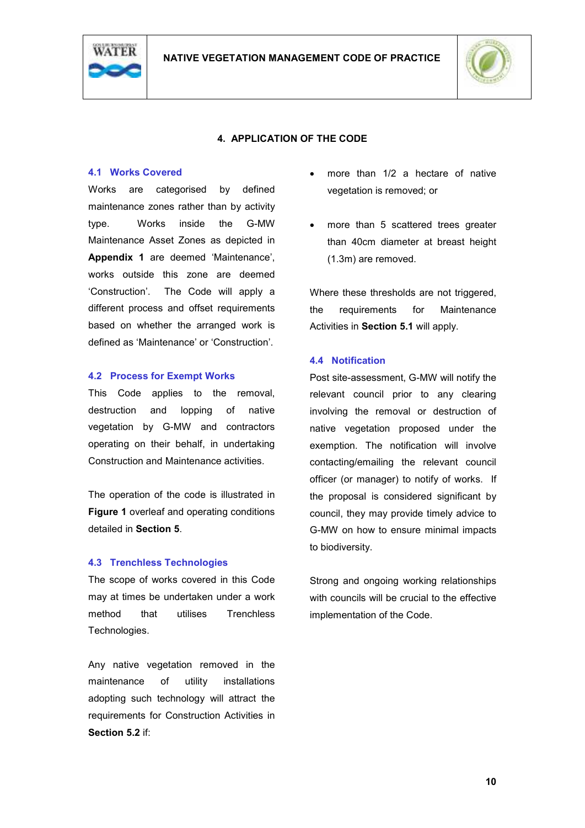



# **4. APPLICATION OF THE CODE**

#### **4.1 Works Covered**

Works are categorised by defined maintenance zones rather than by activity type. Works inside the G-MW Maintenance Asset Zones as depicted in **Appendix 1** are deemed 'Maintenance', works outside this zone are deemed 'Construction'. The Code will apply a different process and offset requirements based on whether the arranged work is defined as 'Maintenance' or 'Construction'.

#### **4.2 Process for Exempt Works**

This Code applies to the removal, destruction and lopping of native vegetation by G-MW and contractors operating on their behalf, in undertaking Construction and Maintenance activities.

The operation of the code is illustrated in **Figure 1** overleaf and operating conditions detailed in **Section 5**.

#### **4.3 Trenchless Technologies**

The scope of works covered in this Code may at times be undertaken under a work method that utilises Trenchless Technologies.

Any native vegetation removed in the maintenance of utility installations adopting such technology will attract the requirements for Construction Activities in **Section 5.2** if:

- more than 1/2 a hectare of native vegetation is removed; or
- more than 5 scattered trees greater than 40cm diameter at breast height (1.3m) are removed.

Where these thresholds are not triggered, the requirements for Maintenance Activities in **Section 5.1** will apply.

## **4.4 Notification**

Post site-assessment, G-MW will notify the relevant council prior to any clearing involving the removal or destruction of native vegetation proposed under the exemption. The notification will involve contacting/emailing the relevant council officer (or manager) to notify of works. If the proposal is considered significant by council, they may provide timely advice to G-MW on how to ensure minimal impacts to biodiversity.

Strong and ongoing working relationships with councils will be crucial to the effective implementation of the Code.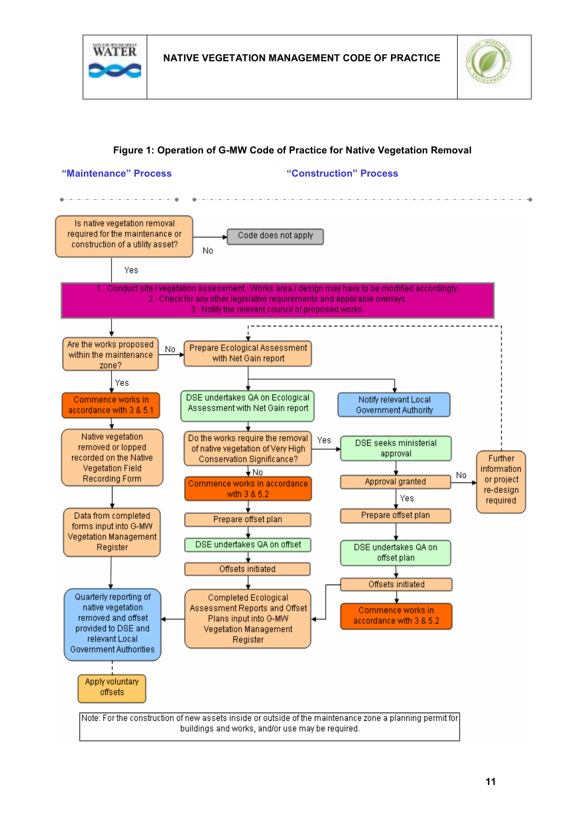

**Figure 1: Operation of G-MW Code of Practice for Native Vegetation Removal** 



#### **"Maintenance" Process "Construction" Process** Is native vegetation removal required for the maintenance or Code does not apply construction of a utility asset? No. Yes 1. Conduct site / vegetation assessment. Works area / design may have to be modified accordingly. 2. Check for any other legislative requirements and applicable overlays. 3. Notify the relevant council of proposed works. Are the works proposed **Prepare Ecological Assessment** No. within the maintenance with Net Gain report zone? Yes DSE undertakes QA on Ecological Notify relevant Local Commence works in Assessment with Net Gain report accordance with 3 & 5.1 Government Authority Native vegetation Do the works require the removal Yes DSE seeks ministerial removed or lopped of native vegetation of Very High approval recorded on the Native Further Conservation Significance? **Vegetation Field** information  $\downarrow$  No No Recording Form or project Approval granted Commence works in accordance re-design with 3 & 5.2 Yes required Prepare offset plan Data from completed Prepare offset plan forms input into G-MW Vegetation Management DSE undertakes QA on offset DSE undertakes QA on Register offset plan. Offsets initiated Offsets initiated Quarterly reporting of **Completed Ecological** native vegetation Assessment Reports and Offset Commence works in removed and offset Plans input into G-MW accordance with 3 & 5.2 provided to DSE and **Vegetation Management** relevant Local Register Government Authorities Apply voluntary offsets [Note: For the construction of new assets inside or outside of the maintenance zone a planning permit for buildings and works, and/or use may be required.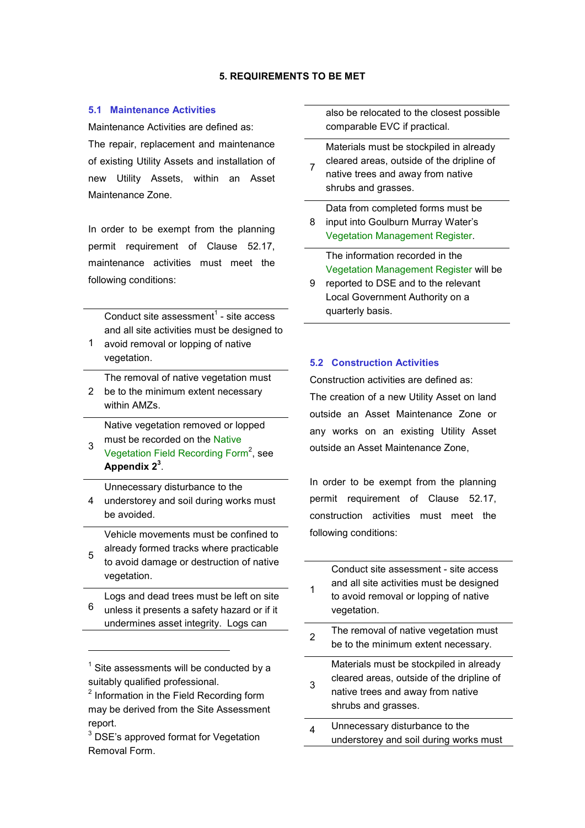## **5.1 Maintenance Activities**

Maintenance Activities are defined as: The repair, replacement and maintenance of existing Utility Assets and installation of new Utility Assets, within an Asset Maintenance Zone.

In order to be exempt from the planning permit requirement of Clause 52.17, maintenance activities must meet the following conditions:

Conduct site assessment $<sup>1</sup>$  - site access</sup> and all site activities must be designed to

- 1 avoid removal or lopping of native vegetation.
- 2 be to the minimum extent necessary The removal of native vegetation must within AMZs.

Native vegetation removed or lopped must be recorded on the Native

3 Vegetation Field Recording Form<sup>2</sup>, see **Appendix 2<sup>3</sup>** .

Unnecessary disturbance to the

4 understorey and soil during works must be avoided.

Vehicle movements must be confined to already formed tracks where practicable

- 5 to avoid damage or destruction of native vegetation.
- 6 Logs and dead trees must be left on site unless it presents a safety hazard or if it undermines asset integrity. Logs can

 $1$  Site assessments will be conducted by a suitably qualified professional.

also be relocated to the closest possible comparable EVC if practical.

7 Materials must be stockpiled in already cleared areas, outside of the dripline of

- native trees and away from native shrubs and grasses.
- 8 Data from completed forms must be input into Goulburn Murray Water's

Vegetation Management Register. The information recorded in the

- Vegetation Management Register will be reported to DSE and to the relevant
- 9 Local Government Authority on a quarterly basis.

## **5.2 Construction Activities**

Construction activities are defined as: The creation of a new Utility Asset on land outside an Asset Maintenance Zone or any works on an existing Utility Asset outside an Asset Maintenance Zone,

In order to be exempt from the planning permit requirement of Clause 52.17, construction activities must meet the following conditions:

| 1 | Conduct site assessment - site access<br>and all site activities must be designed<br>to avoid removal or lopping of native<br>vegetation.        |
|---|--------------------------------------------------------------------------------------------------------------------------------------------------|
| 2 | The removal of native vegetation must<br>be to the minimum extent necessary.                                                                     |
| 3 | Materials must be stockpiled in already<br>cleared areas, outside of the dripline of<br>native trees and away from native<br>shrubs and grasses. |
|   | Unnecessary disturbance to the<br>understorey and soil during works must                                                                         |

<sup>&</sup>lt;sup>2</sup> Information in the Field Recording form may be derived from the Site Assessment report.

 $3$  DSE's approved format for Vegetation Removal Form.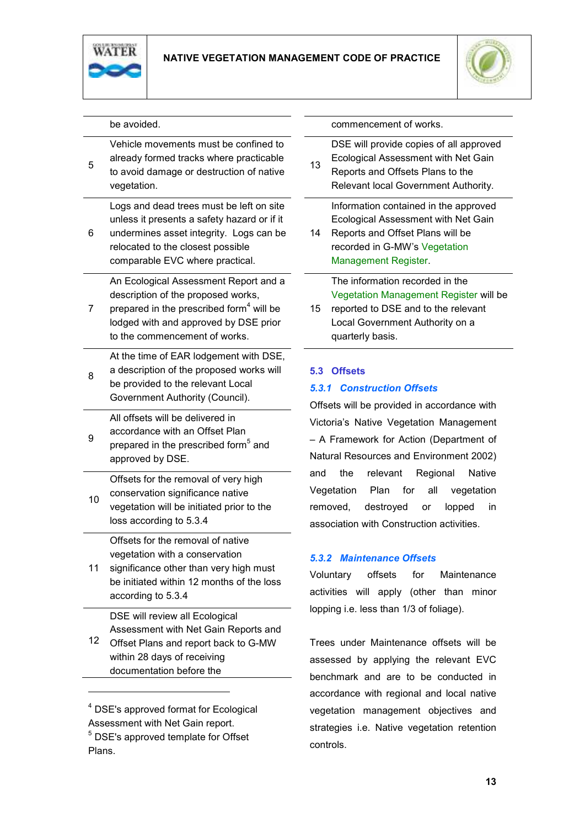



be avoided.

Vehicle movements must be confined to

5 already formed tracks where practicable to avoid damage or destruction of native vegetation.

> Logs and dead trees must be left on site unless it presents a safety hazard or if it

6 undermines asset integrity. Logs can be relocated to the closest possible comparable EVC where practical.

> An Ecological Assessment Report and a description of the proposed works,

7 prepared in the prescribed form $4$  will be lodged with and approved by DSE prior to the commencement of works.

8 At the time of EAR lodgement with DSE, a description of the proposed works will be provided to the relevant Local

Government Authority (Council).

All offsets will be delivered in

 $\mathsf{q}$ accordance with an Offset Plan prepared in the prescribed form<sup>5</sup> and approved by DSE.

> Offsets for the removal of very high conservation significance native

10 vegetation will be initiated prior to the loss according to 5.3.4

> Offsets for the removal of native vegetation with a conservation

11 significance other than very high must be initiated within 12 months of the loss according to 5.3.4

DSE will review all Ecological Assessment with Net Gain Reports and

12 Offset Plans and report back to G-MW within 28 days of receiving documentation before the

4 DSE's approved format for Ecological Assessment with Net Gain report. <sup>5</sup> DSE's approved template for Offset Plans.

commencement of works.

13 DSE will provide copies of all approved Ecological Assessment with Net Gain Reports and Offsets Plans to the Relevant local Government Authority. 14 Reports and Offset Plans will be Information contained in the approved Ecological Assessment with Net Gain recorded in G-MW's Vegetation Management Register.

The information recorded in the Vegetation Management Register will be

15 reported to DSE and to the relevant Local Government Authority on a quarterly basis.

# **5.3 Offsets**

# *5.3.1 Construction Offsets*

Offsets will be provided in accordance with Victoria's Native Vegetation Management – A Framework for Action (Department of Natural Resources and Environment 2002) and the relevant Regional Native Vegetation Plan for all vegetation removed, destroyed or lopped in association with Construction activities.

# *5.3.2 Maintenance Offsets*

Voluntary offsets for Maintenance activities will apply (other than minor lopping i.e. less than 1/3 of foliage).

Trees under Maintenance offsets will be assessed by applying the relevant EVC benchmark and are to be conducted in accordance with regional and local native vegetation management objectives and strategies i.e. Native vegetation retention controls.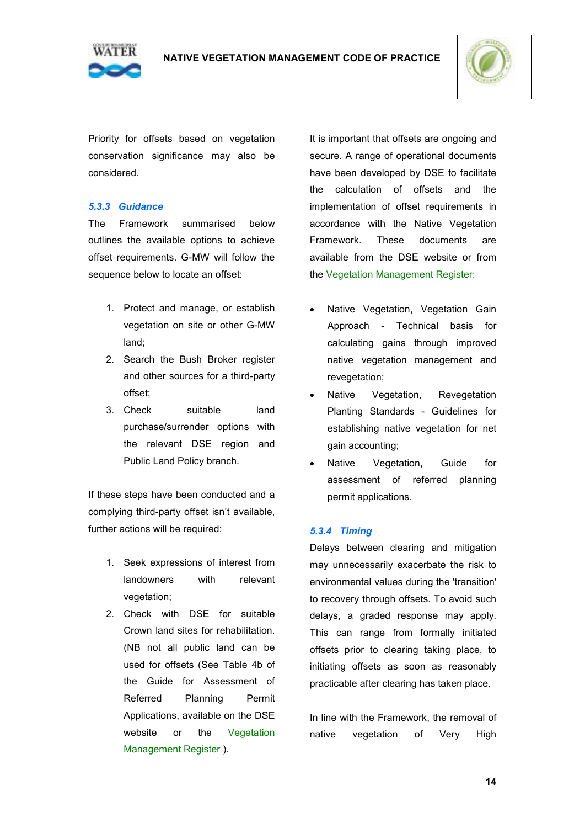



Priority for offsets based on vegetation conservation significance may also be considered.

## *5.3.3 Guidance*

The Framework summarised below outlines the available options to achieve offset requirements. G-MW will follow the sequence below to locate an offset:

- 1. Protect and manage, or establish vegetation on site or other G-MW land;
- 2. Search the Bush Broker register and other sources for a third-party offset;
- 3. Check suitable land purchase/surrender options with the relevant DSE region and Public Land Policy branch.

If these steps have been conducted and a complying third-party offset isn't available, further actions will be required:

- 1. Seek expressions of interest from landowners with relevant vegetation;
- 2. Check with DSE for suitable Crown land sites for rehabilitation. (NB not all public land can be used for offsets (See Table 4b of the Guide for Assessment of Referred Planning Permit Applications, available on the DSE website or the Vegetation Management Register ).

It is important that offsets are ongoing and secure. A range of operational documents have been developed by DSE to facilitate the calculation of offsets and the implementation of offset requirements in accordance with the Native Vegetation Framework. These documents are available from the DSE website or from the Vegetation Management Register:

- Native Vegetation, Vegetation Gain Approach - Technical basis for calculating gains through improved native vegetation management and revegetation;
- Native Vegetation, Revegetation Planting Standards - Guidelines for establishing native vegetation for net gain accounting;
- Native Vegetation, Guide for assessment of referred planning permit applications.

# *5.3.4 Timing*

Delays between clearing and mitigation may unnecessarily exacerbate the risk to environmental values during the 'transition' to recovery through offsets. To avoid such delays, a graded response may apply. This can range from formally initiated offsets prior to clearing taking place, to initiating offsets as soon as reasonably practicable after clearing has taken place.

In line with the Framework, the removal of native vegetation of Very High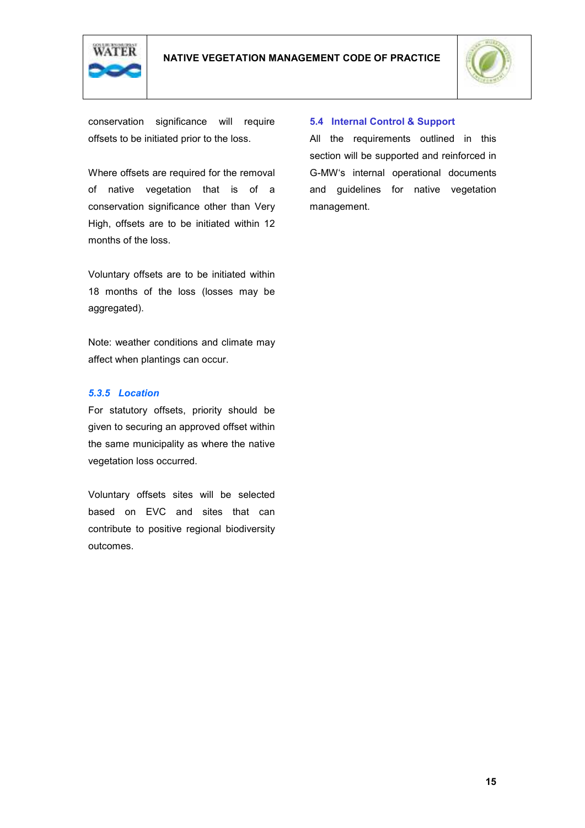



conservation significance will require offsets to be initiated prior to the loss.

Where offsets are required for the removal of native vegetation that is of a conservation significance other than Very High, offsets are to be initiated within 12 months of the loss.

Voluntary offsets are to be initiated within 18 months of the loss (losses may be aggregated).

Note: weather conditions and climate may affect when plantings can occur.

# *5.3.5 Location*

For statutory offsets, priority should be given to securing an approved offset within the same municipality as where the native vegetation loss occurred.

Voluntary offsets sites will be selected based on EVC and sites that can contribute to positive regional biodiversity outcomes.

#### **5.4 Internal Control & Support**

All the requirements outlined in this section will be supported and reinforced in G-MW's internal operational documents and guidelines for native vegetation management.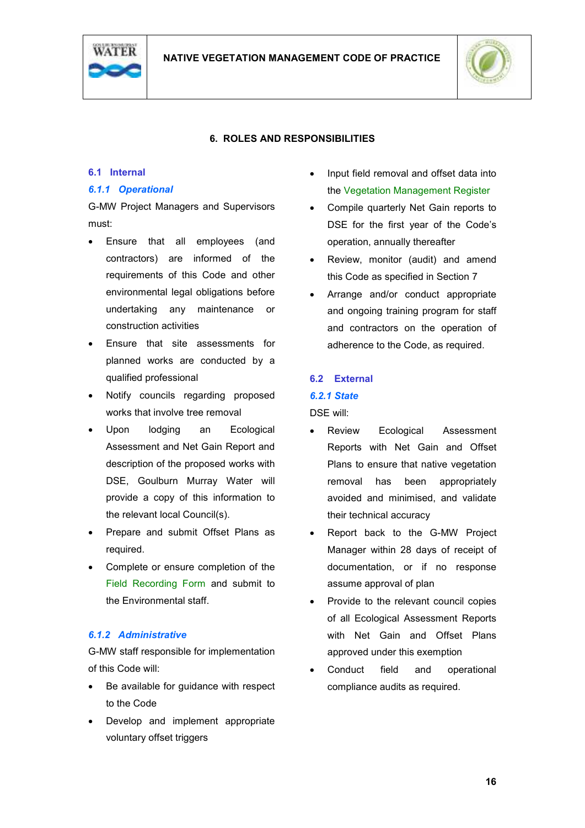



# **6. ROLES AND RESPONSIBILITIES**

# **6.1 Internal**

# *6.1.1 Operational*

G-MW Project Managers and Supervisors must:

- Ensure that all employees (and contractors) are informed of the requirements of this Code and other environmental legal obligations before undertaking any maintenance or construction activities
- Ensure that site assessments for planned works are conducted by a qualified professional
- Notify councils regarding proposed works that involve tree removal
- Upon lodging an Ecological Assessment and Net Gain Report and description of the proposed works with DSE, Goulburn Murray Water will provide a copy of this information to the relevant local Council(s).
- Prepare and submit Offset Plans as required.
- Complete or ensure completion of the Field Recording Form and submit to the Environmental staff.

# *6.1.2 Administrative*

G-MW staff responsible for implementation of this Code will:

- Be available for guidance with respect to the Code
- Develop and implement appropriate voluntary offset triggers
- Input field removal and offset data into the Vegetation Management Register
- Compile quarterly Net Gain reports to DSE for the first year of the Code's operation, annually thereafter
- Review, monitor (audit) and amend this Code as specified in Section 7
- Arrange and/or conduct appropriate and ongoing training program for staff and contractors on the operation of adherence to the Code, as required.

# **6.2 External**

# *6.2.1 State*

DSE will:

- Review Ecological Assessment Reports with Net Gain and Offset Plans to ensure that native vegetation removal has been appropriately avoided and minimised, and validate their technical accuracy
- Report back to the G-MW Project Manager within 28 days of receipt of documentation, or if no response assume approval of plan
- Provide to the relevant council copies of all Ecological Assessment Reports with Net Gain and Offset Plans approved under this exemption
- Conduct field and operational compliance audits as required.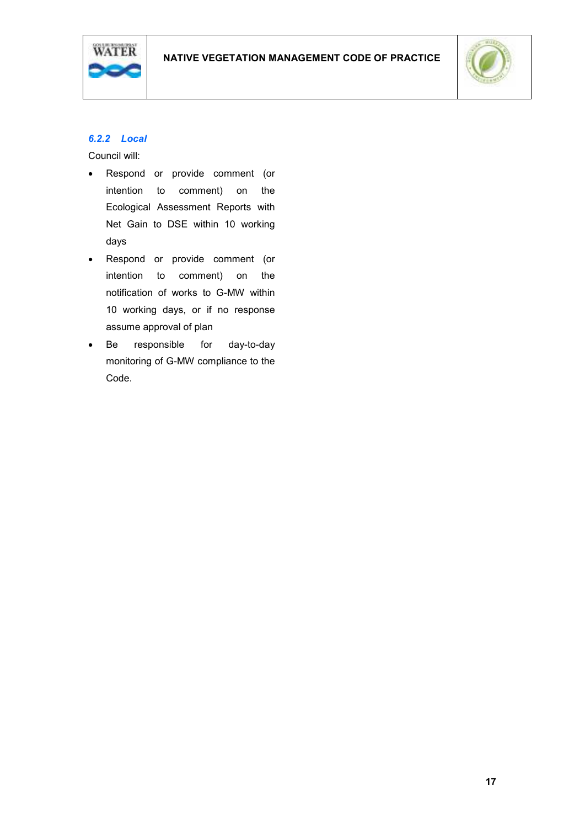



# *6.2.2 Local*

Council will:

- Respond or provide comment (or intention to comment) on the Ecological Assessment Reports with Net Gain to DSE within 10 working days
- Respond or provide comment (or intention to comment) on the notification of works to G-MW within 10 working days, or if no response assume approval of plan
- Be responsible for day-to-day monitoring of G-MW compliance to the Code.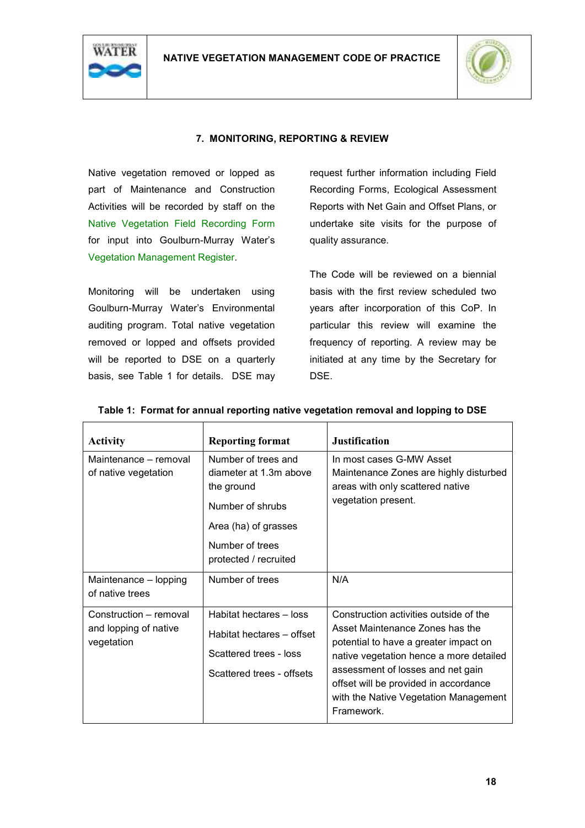



## **7. MONITORING, REPORTING & REVIEW**

Native vegetation removed or lopped as part of Maintenance and Construction Activities will be recorded by staff on the Native Vegetation Field Recording Form for input into Goulburn-Murray Water's Vegetation Management Register.

Monitoring will be undertaken using Goulburn-Murray Water's Environmental auditing program. Total native vegetation removed or lopped and offsets provided will be reported to DSE on a quarterly basis, see Table 1 for details. DSE may

request further information including Field Recording Forms, Ecological Assessment Reports with Net Gain and Offset Plans, or undertake site visits for the purpose of quality assurance.

The Code will be reviewed on a biennial basis with the first review scheduled two years after incorporation of this CoP. In particular this review will examine the frequency of reporting. A review may be initiated at any time by the Secretary for DSE.

| <b>Activity</b>                                               | <b>Reporting format</b>                                                                                                                             | <b>Justification</b>                                                                                                                                                                                                                                                                               |
|---------------------------------------------------------------|-----------------------------------------------------------------------------------------------------------------------------------------------------|----------------------------------------------------------------------------------------------------------------------------------------------------------------------------------------------------------------------------------------------------------------------------------------------------|
| Maintenance – removal<br>of native vegetation                 | Number of trees and<br>diameter at 1.3m above<br>the ground<br>Number of shrubs<br>Area (ha) of grasses<br>Number of trees<br>protected / recruited | In most cases G-MW Asset<br>Maintenance Zones are highly disturbed<br>areas with only scattered native<br>vegetation present.                                                                                                                                                                      |
| Maintenance - lopping<br>of native trees                      | Number of trees                                                                                                                                     | N/A                                                                                                                                                                                                                                                                                                |
| Construction – removal<br>and lopping of native<br>vegetation | Habitat hectares - loss<br>Habitat hectares - offset<br>Scattered trees - loss<br>Scattered trees - offsets                                         | Construction activities outside of the<br>Asset Maintenance Zones has the<br>potential to have a greater impact on<br>native vegetation hence a more detailed<br>assessment of losses and net gain<br>offset will be provided in accordance<br>with the Native Vegetation Management<br>Framework. |

## **Table 1: Format for annual reporting native vegetation removal and lopping to DSE**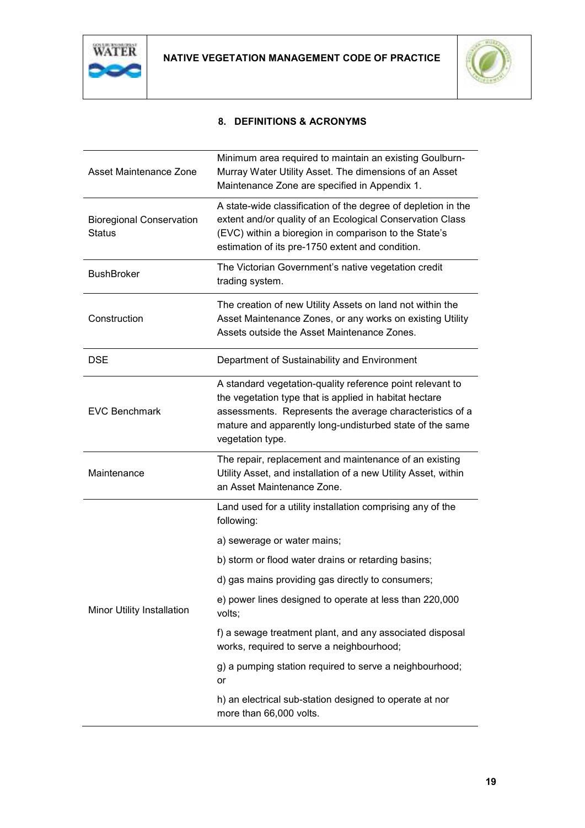



# **8. DEFINITIONS & ACRONYMS**

| Asset Maintenance Zone                           | Minimum area required to maintain an existing Goulburn-<br>Murray Water Utility Asset. The dimensions of an Asset<br>Maintenance Zone are specified in Appendix 1.                                                                                              |  |
|--------------------------------------------------|-----------------------------------------------------------------------------------------------------------------------------------------------------------------------------------------------------------------------------------------------------------------|--|
| <b>Bioregional Conservation</b><br><b>Status</b> | A state-wide classification of the degree of depletion in the<br>extent and/or quality of an Ecological Conservation Class<br>(EVC) within a bioregion in comparison to the State's<br>estimation of its pre-1750 extent and condition.                         |  |
| <b>BushBroker</b>                                | The Victorian Government's native vegetation credit<br>trading system.                                                                                                                                                                                          |  |
| Construction                                     | The creation of new Utility Assets on land not within the<br>Asset Maintenance Zones, or any works on existing Utility<br>Assets outside the Asset Maintenance Zones.                                                                                           |  |
| <b>DSE</b>                                       | Department of Sustainability and Environment                                                                                                                                                                                                                    |  |
| <b>EVC Benchmark</b>                             | A standard vegetation-quality reference point relevant to<br>the vegetation type that is applied in habitat hectare<br>assessments. Represents the average characteristics of a<br>mature and apparently long-undisturbed state of the same<br>vegetation type. |  |
| Maintenance                                      | The repair, replacement and maintenance of an existing<br>Utility Asset, and installation of a new Utility Asset, within<br>an Asset Maintenance Zone.                                                                                                          |  |
|                                                  | Land used for a utility installation comprising any of the<br>following:                                                                                                                                                                                        |  |
|                                                  | a) sewerage or water mains;                                                                                                                                                                                                                                     |  |
|                                                  | b) storm or flood water drains or retarding basins;                                                                                                                                                                                                             |  |
|                                                  | d) gas mains providing gas directly to consumers;                                                                                                                                                                                                               |  |
| Minor Utility Installation                       | e) power lines designed to operate at less than 220,000<br>volts;                                                                                                                                                                                               |  |
|                                                  | f) a sewage treatment plant, and any associated disposal<br>works, required to serve a neighbourhood;                                                                                                                                                           |  |
|                                                  | g) a pumping station required to serve a neighbourhood;<br>or                                                                                                                                                                                                   |  |
|                                                  | h) an electrical sub-station designed to operate at nor<br>more than 66,000 volts.                                                                                                                                                                              |  |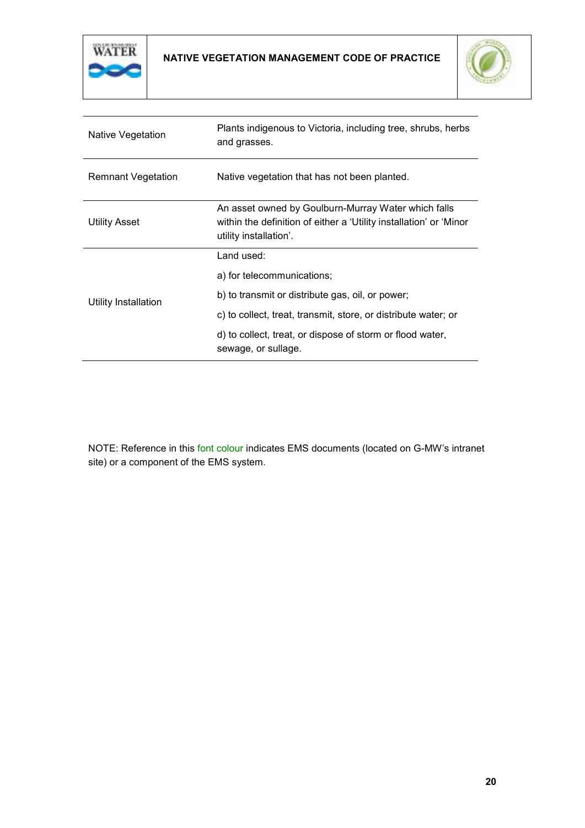



| Native Vegetation    | Plants indigenous to Victoria, including tree, shrubs, herbs<br>and grasses.                                                                                                                                                                       |
|----------------------|----------------------------------------------------------------------------------------------------------------------------------------------------------------------------------------------------------------------------------------------------|
| Remnant Vegetation   | Native vegetation that has not been planted.                                                                                                                                                                                                       |
| Utility Asset        | An asset owned by Goulburn-Murray Water which falls<br>within the definition of either a 'Utility installation' or 'Minor<br>utility installation'.                                                                                                |
| Utility Installation | Land used:<br>a) for telecommunications;<br>b) to transmit or distribute gas, oil, or power;<br>c) to collect, treat, transmit, store, or distribute water; or<br>d) to collect, treat, or dispose of storm or flood water,<br>sewage, or sullage. |

NOTE: Reference in this font colour indicates EMS documents (located on G-MW's intranet site) or a component of the EMS system.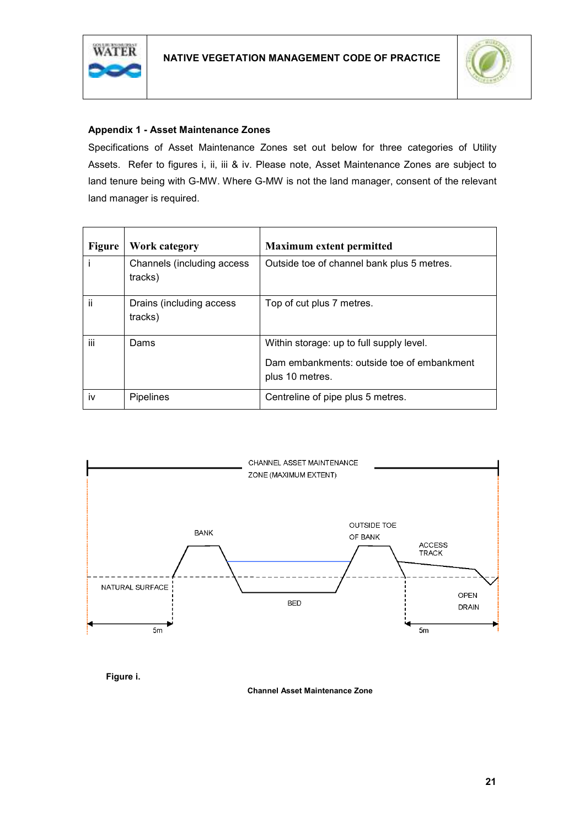



# **Appendix 1 - Asset Maintenance Zones**

Specifications of Asset Maintenance Zones set out below for three categories of Utility Assets. Refer to figures i, ii, iii & iv. Please note, Asset Maintenance Zones are subject to land tenure being with G-MW. Where G-MW is not the land manager, consent of the relevant land manager is required.

| Figure | <b>Work category</b>                  | <b>Maximum extent permitted</b>                                                                           |
|--------|---------------------------------------|-----------------------------------------------------------------------------------------------------------|
|        | Channels (including access<br>tracks) | Outside toe of channel bank plus 5 metres.                                                                |
| ii     | Drains (including access<br>tracks)   | Top of cut plus 7 metres.                                                                                 |
| iii    | Dams                                  | Within storage: up to full supply level.<br>Dam embankments: outside toe of embankment<br>plus 10 metres. |
| iv     | <b>Pipelines</b>                      | Centreline of pipe plus 5 metres.                                                                         |



**Figure i. C**

**Channel Asset Maintenance Zone**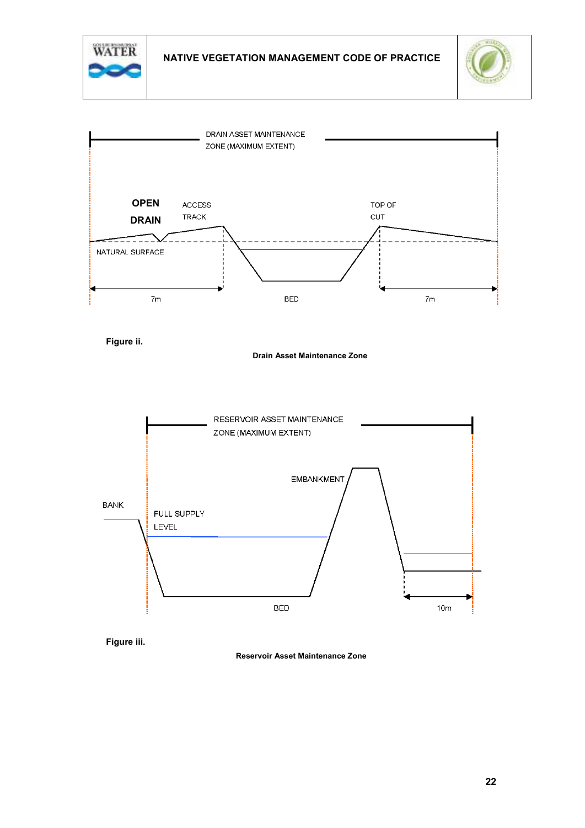





**Figure ii. D**

**Drain Asset Maintenance Zone** 



**Figure iii.** 

**Reservoir Asset Maintenance Zone**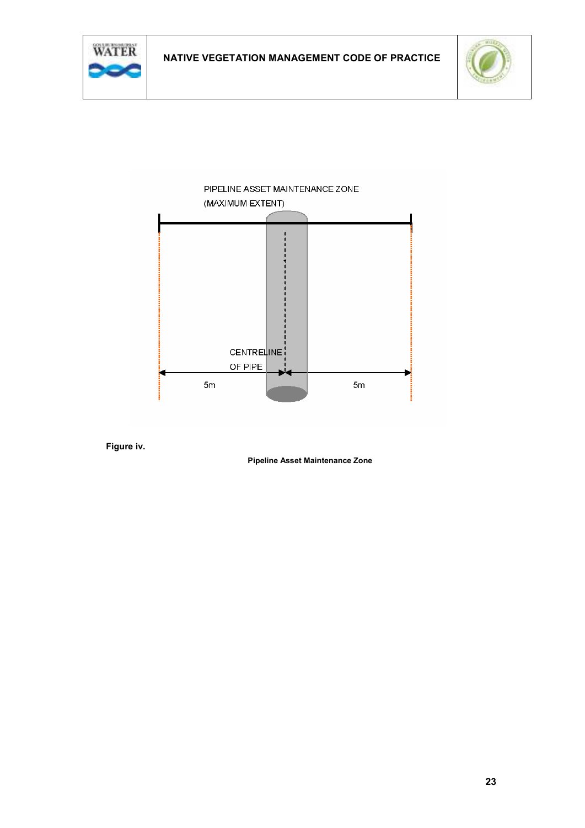





**Figure iv. P**

**Pipeline Asset Maintenance Zone**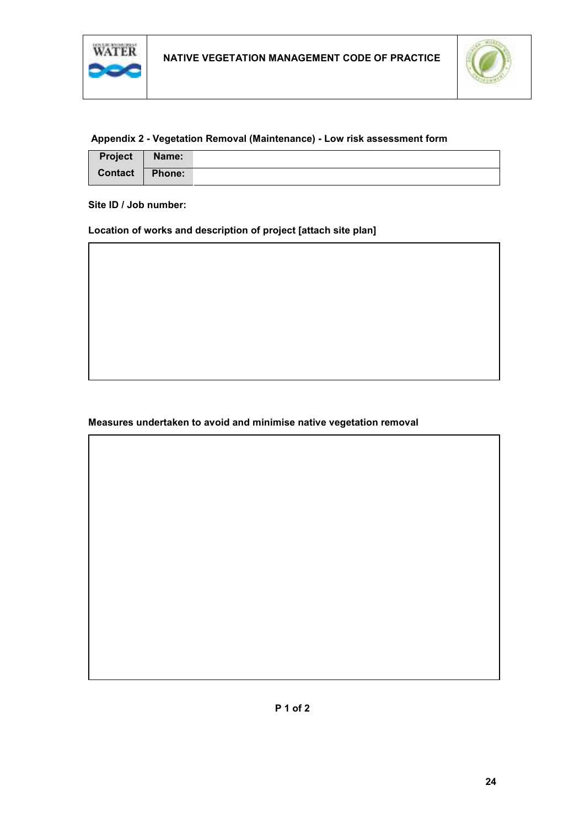



# **Appendix 2 - Vegetation Removal (Maintenance) - Low risk assessment form**

| <b>Project</b>   | Name: |  |
|------------------|-------|--|
| Contact   Phone: |       |  |

**Site ID / Job number:** 

**Location of works and description of project [attach site plan]** 

# **Measures undertaken to avoid and minimise native vegetation removal**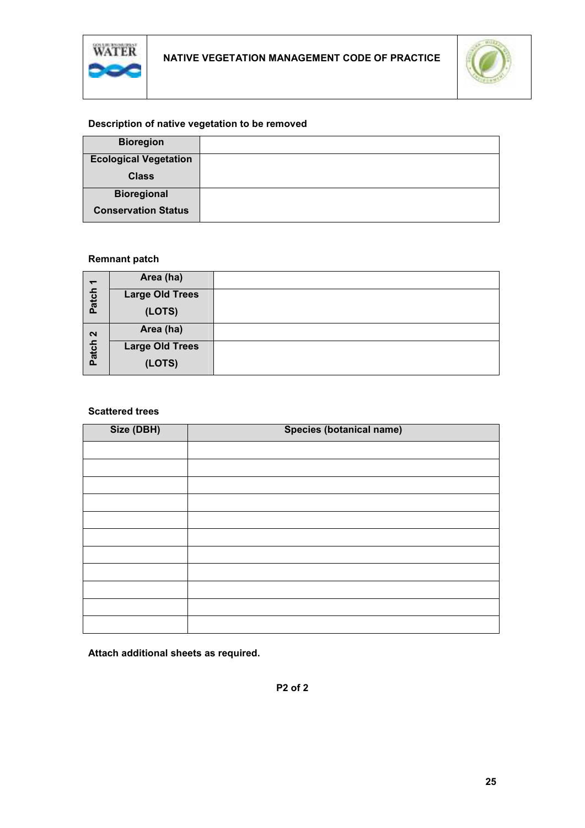



# **Description of native vegetation to be removed**

| <b>Bioregion</b>             |  |
|------------------------------|--|
| <b>Ecological Vegetation</b> |  |
| <b>Class</b>                 |  |
| <b>Bioregional</b>           |  |
| <b>Conservation Status</b>   |  |

# **Remnant patch**

| ↽                  | Area (ha)              |  |
|--------------------|------------------------|--|
| Patch              | <b>Large Old Trees</b> |  |
|                    | (LOTS)                 |  |
|                    | Area (ha)              |  |
| Patch <sub>2</sub> | <b>Large Old Trees</b> |  |
|                    | (LOTS)                 |  |

## **Scattered trees**

| Size (DBH) | Species (botanical name) |
|------------|--------------------------|
|            |                          |
|            |                          |
|            |                          |
|            |                          |
|            |                          |
|            |                          |
|            |                          |
|            |                          |
|            |                          |
|            |                          |
|            |                          |

**Attach additional sheets as required.** 

**P2 of 2**